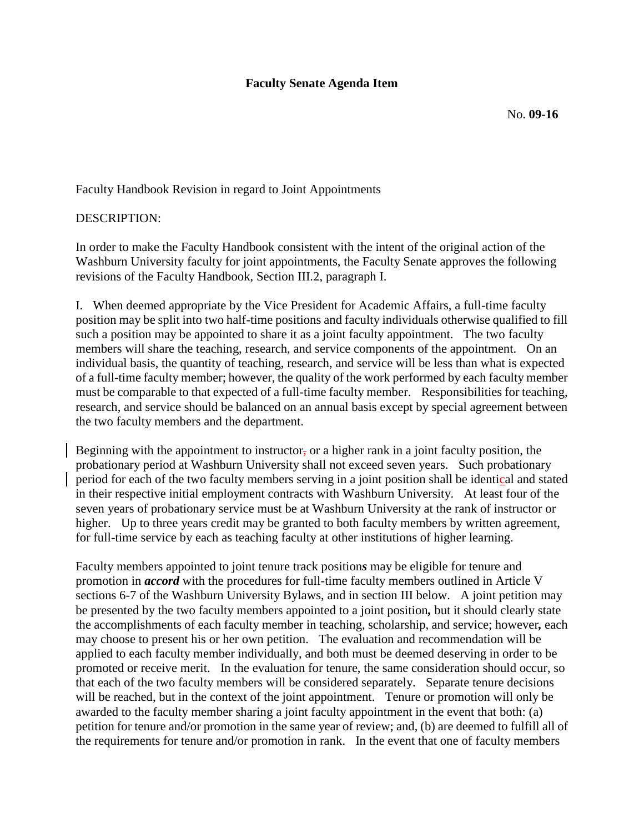## **Faculty Senate Agenda Item**

Faculty Handbook Revision in regard to Joint Appointments

## DESCRIPTION:

In order to make the Faculty Handbook consistent with the intent of the original action of the Washburn University faculty for joint appointments, the Faculty Senate approves the following revisions of the Faculty Handbook, Section III.2, paragraph I.

I. When deemed appropriate by the Vice President for Academic Affairs, a full-time faculty position may be split into two half-time positions and faculty individuals otherwise qualified to fill such a position may be appointed to share it as a joint faculty appointment. The two faculty members will share the teaching, research, and service components of the appointment. On an individual basis, the quantity of teaching, research, and service will be less than what is expected of a full-time faculty member; however, the quality of the work performed by each faculty member must be comparable to that expected of a full-time faculty member. Responsibilities for teaching, research, and service should be balanced on an annual basis except by special agreement between the two faculty members and the department.

Beginning with the appointment to instructor, or a higher rank in a joint faculty position, the probationary period at Washburn University shall not exceed seven years. Such probationary period for each of the two faculty members serving in a joint position shall be identical and stated in their respective initial employment contracts with Washburn University. At least four of the seven years of probationary service must be at Washburn University at the rank of instructor or higher. Up to three years credit may be granted to both faculty members by written agreement, for full-time service by each as teaching faculty at other institutions of higher learning.

Faculty members appointed to joint tenure track position*s* may be eligible for tenure and promotion in *accord* with the procedures for full-time faculty members outlined in Article V sections 6-7 of the Washburn University Bylaws, and in section III below. A joint petition may be presented by the two faculty members appointed to a joint position*,* but it should clearly state the accomplishments of each faculty member in teaching, scholarship, and service; however*,* each may choose to present his or her own petition. The evaluation and recommendation will be applied to each faculty member individually, and both must be deemed deserving in order to be promoted or receive merit. In the evaluation for tenure, the same consideration should occur, so that each of the two faculty members will be considered separately. Separate tenure decisions will be reached, but in the context of the joint appointment. Tenure or promotion will only be awarded to the faculty member sharing a joint faculty appointment in the event that both: (a) petition for tenure and/or promotion in the same year of review; and, (b) are deemed to fulfill all of the requirements for tenure and/or promotion in rank. In the event that one of faculty members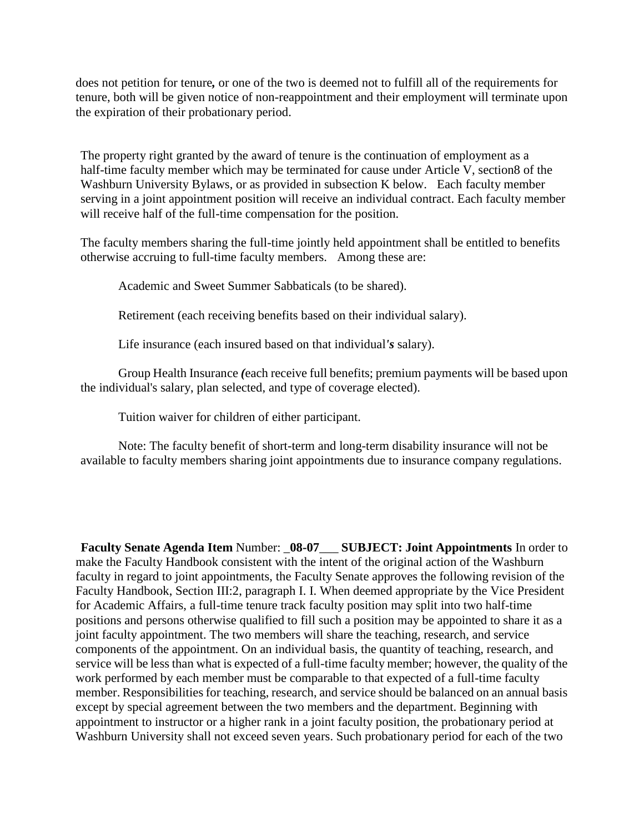does not petition for tenure*,* or one of the two is deemed not to fulfill all of the requirements for tenure, both will be given notice of non-reappointment and their employment will terminate upon the expiration of their probationary period.

The property right granted by the award of tenure is the continuation of employment as a half-time faculty member which may be terminated for cause under Article V, section8 of the Washburn University Bylaws, or as provided in subsection K below. Each faculty member serving in a joint appointment position will receive an individual contract. Each faculty member will receive half of the full-time compensation for the position.

The faculty members sharing the full-time jointly held appointment shall be entitled to benefits otherwise accruing to full-time faculty members. Among these are:

Academic and Sweet Summer Sabbaticals (to be shared).

Retirement (each receiving benefits based on their individual salary).

Life insurance (each insured based on that individual*'s* salary).

Group Health Insurance *(*each receive full benefits; premium payments will be based upon the individual's salary, plan selected, and type of coverage elected).

Tuition waiver for children of either participant.

Note: The faculty benefit of short-term and long-term disability insurance will not be available to faculty members sharing joint appointments due to insurance company regulations.

**Faculty Senate Agenda Item** Number: \_**08-07**\_\_\_ **SUBJECT: Joint Appointments** In order to make the Faculty Handbook consistent with the intent of the original action of the Washburn faculty in regard to joint appointments, the Faculty Senate approves the following revision of the Faculty Handbook, Section III:2, paragraph I. I. When deemed appropriate by the Vice President for Academic Affairs, a full-time tenure track faculty position may split into two half-time positions and persons otherwise qualified to fill such a position may be appointed to share it as a joint faculty appointment. The two members will share the teaching, research, and service components of the appointment. On an individual basis, the quantity of teaching, research, and service will be less than what is expected of a full-time faculty member; however, the quality of the work performed by each member must be comparable to that expected of a full-time faculty member. Responsibilities for teaching, research, and service should be balanced on an annual basis except by special agreement between the two members and the department. Beginning with appointment to instructor or a higher rank in a joint faculty position, the probationary period at Washburn University shall not exceed seven years. Such probationary period for each of the two